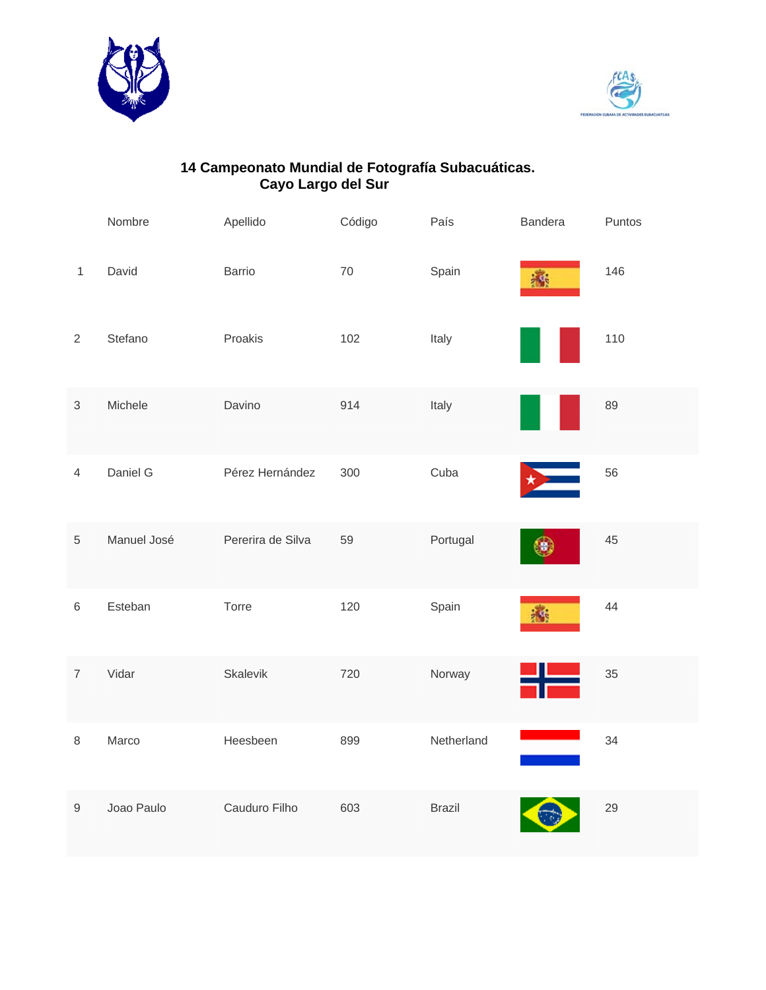



## **14 Campeonato Mundial de Fotografía Subacuáticas. Cayo Largo del Sur**

|                  | Nombre      | Apellido          | Código | País          | <b>Bandera</b> | Puntos |
|------------------|-------------|-------------------|--------|---------------|----------------|--------|
| $\mathbf{1}$     | David       | Barrio            | $70\,$ | Spain         | 高              | 146    |
| $\overline{2}$   | Stefano     | Proakis           | 102    | Italy         |                | 110    |
| $\sqrt{3}$       | Michele     | Davino            | 914    | Italy         |                | 89     |
| $\overline{4}$   | Daniel G    | Pérez Hernández   | 300    | Cuba          |                | 56     |
| $\sqrt{5}$       | Manuel José | Pererira de Silva | 59     | Portugal      |                | 45     |
| $6\,$            | Esteban     | Torre             | 120    | Spain         | 橘              | 44     |
| $\overline{7}$   | Vidar       | Skalevik          | 720    | Norway        |                | 35     |
| $\,8\,$          | Marco       | Heesbeen          | 899    | Netherland    |                | 34     |
| $\boldsymbol{9}$ | Joao Paulo  | Cauduro Filho     | 603    | <b>Brazil</b> |                | 29     |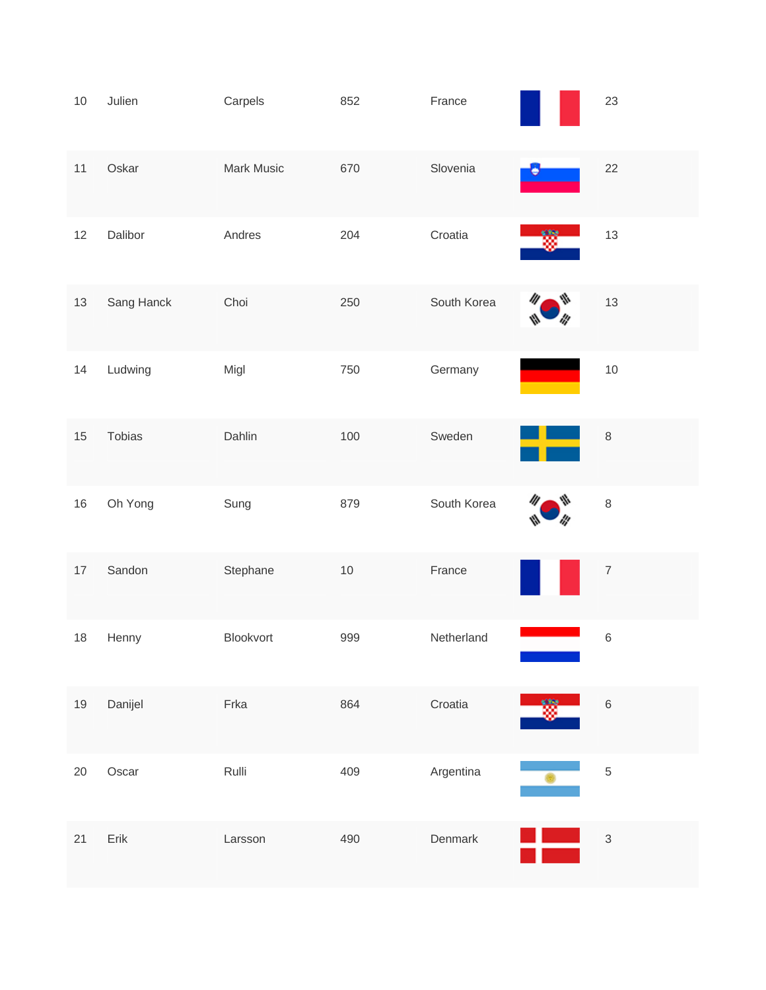| $10$   | Julien        | Carpels    | 852  | France      | 23               |
|--------|---------------|------------|------|-------------|------------------|
| $11$   | Oskar         | Mark Music | 670  | Slovenia    | 22               |
| 12     | Dalibor       | Andres     | 204  | Croatia     | 13               |
| $13$   | Sang Hanck    | Choi       | 250  | South Korea | 13               |
| 14     | Ludwing       | Migl       | 750  | Germany     | $10$             |
| 15     | <b>Tobias</b> | Dahlin     | 100  | Sweden      | $\,8\,$          |
| $16\,$ | Oh Yong       | Sung       | 879  | South Korea | 8                |
| $17$   | Sandon        | Stephane   | $10$ | France      | $\boldsymbol{7}$ |
| 18     | Henny         | Blookvort  | 999  | Netherland  | 6                |
| $19$   | Danijel       | Frka       | 864  | Croatia     | $\overline{6}$   |
| $20\,$ | Oscar         | Rulli      | 409  | Argentina   | $\overline{5}$   |
| 21     | Erik          | Larsson    | 490  | Denmark     | 3                |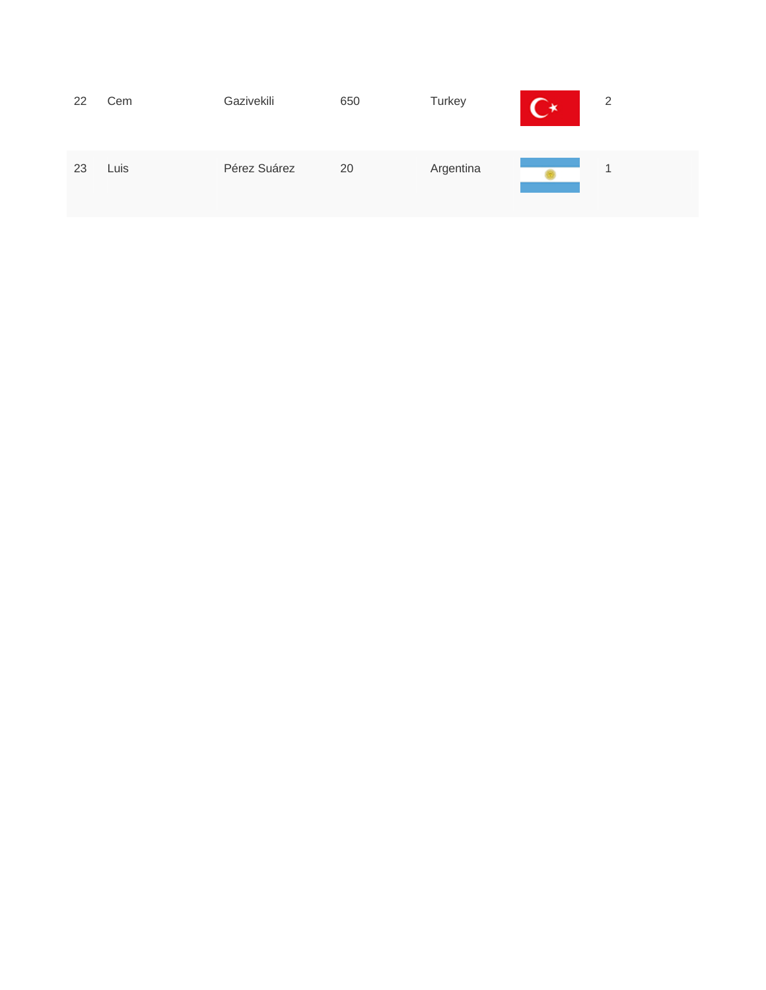| 22<br>Cem  | Gazivekili   | 650 | Turkey    | 一米 | 2 |  |
|------------|--------------|-----|-----------|----|---|--|
| Luis<br>23 | Pérez Suárez | 20  | Argentina |    | и |  |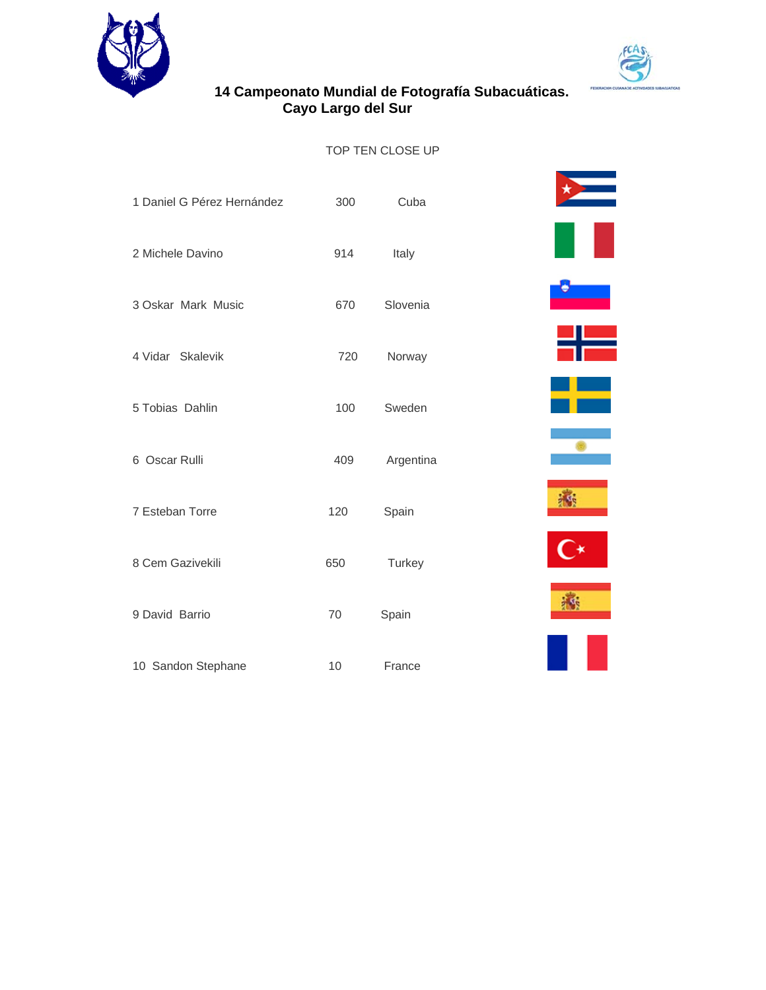



# **14 Campeonato Mundial de Fotografía Subacuáticas. Cayo Largo del Sur**

#### TOP TEN CLOSE UP

| 1 Daniel G Pérez Hernández | 300 | Cuba      |  |
|----------------------------|-----|-----------|--|
| 2 Michele Davino           | 914 | Italy     |  |
| 3 Oskar Mark Music         | 670 | Slovenia  |  |
| 4 Vidar Skalevik           | 720 | Norway    |  |
| 5 Tobias Dahlin            | 100 | Sweden    |  |
| 6 Oscar Rulli              | 409 | Argentina |  |
| 7 Esteban Torre            | 120 | Spain     |  |
| 8 Cem Gazivekili           | 650 | Turkey    |  |
| 9 David Barrio             | 70  | Spain     |  |
| 10 Sandon Stephane         | 10  | France    |  |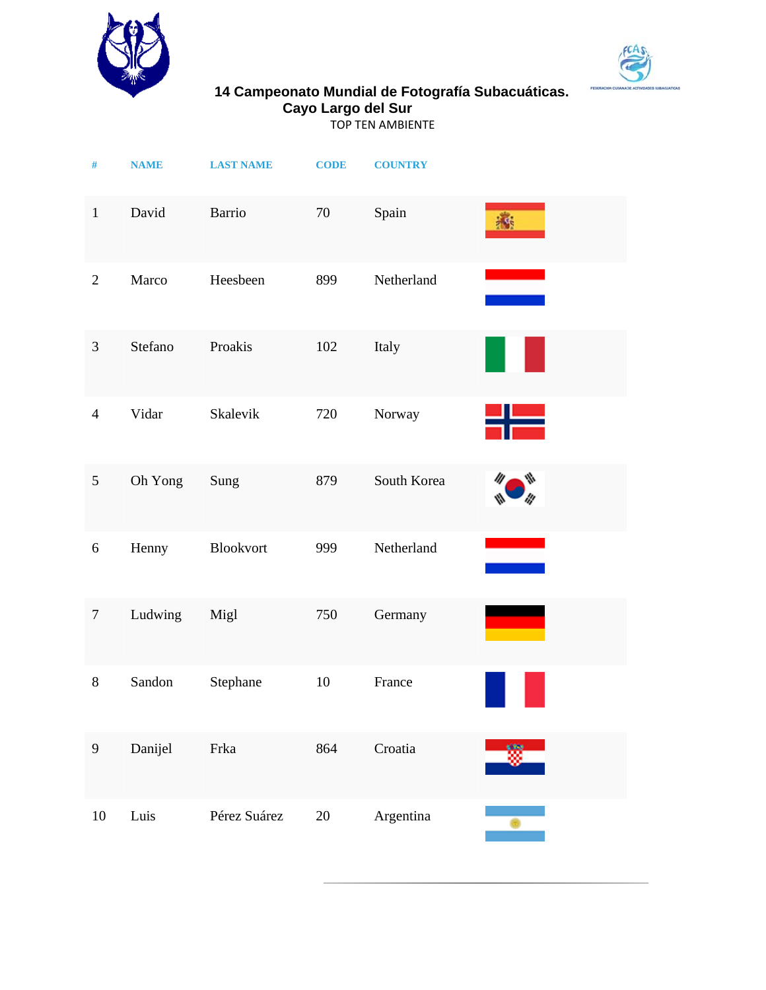



### **14 Campeonato Mundial de Fotografía Subacuáticas. Cayo Largo del Sur**

TOP TEN AMBIENTE

| $\#$             | <b>NAME</b> | <b>LAST NAME</b> | <b>CODE</b> | <b>COUNTRY</b> |          |
|------------------|-------------|------------------|-------------|----------------|----------|
| $\mathbf{1}$     | David       | Barrio           | 70          | Spain          | <b>K</b> |
| $\overline{2}$   | Marco       | Heesbeen         | 899         | Netherland     |          |
| 3                | Stefano     | Proakis          | 102         | Italy          |          |
| $\overline{4}$   | Vidar       | Skalevik         | 720         | Norway         |          |
| 5                | Oh Yong     | Sung             | 879         | South Korea    |          |
| $\boldsymbol{6}$ | Henny       | Blookvort        | 999         | Netherland     |          |
| $\boldsymbol{7}$ | Ludwing     | Migl             | 750         | Germany        |          |
| $8\,$            | Sandon      | Stephane         | 10          | France         |          |
| $\boldsymbol{9}$ | Danijel     | Frka             | 864         | Croatia        |          |
| 10               | Luis        | Pérez Suárez     | $20\,$      | Argentina      |          |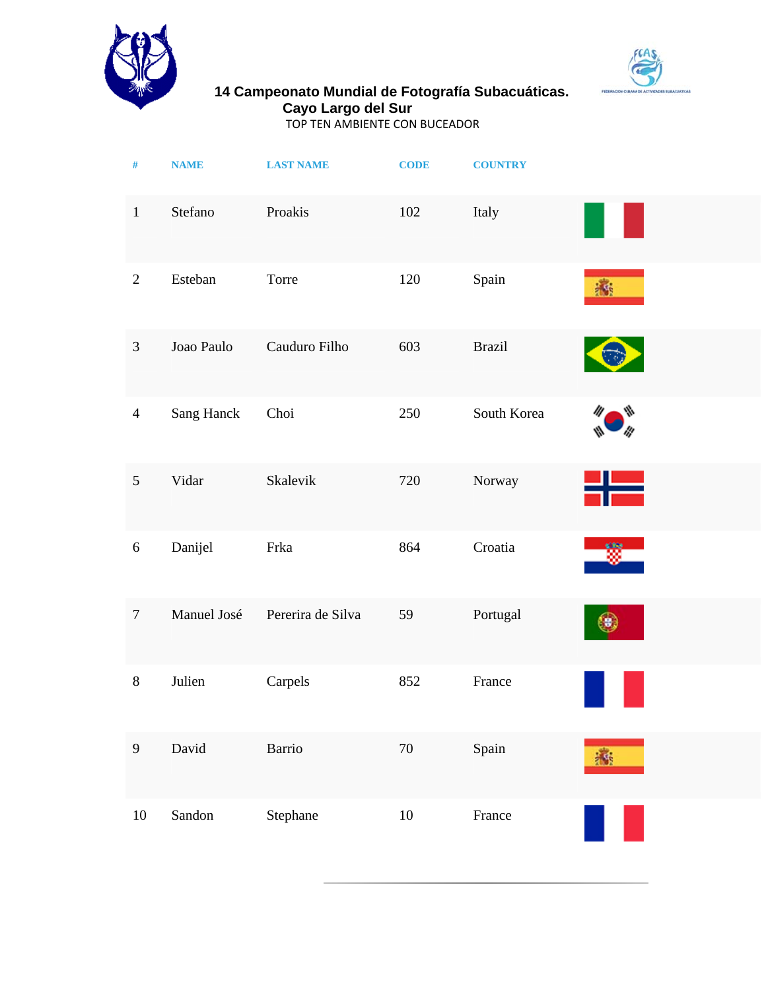



#### **14 Campeonato Mundial de Fotografía Subacuáticas. Cayo Largo del Sur**

TOP TEN AMBIENTE CON BUCEADOR

| $\#$             | <b>NAME</b> | <b>LAST NAME</b>  | <b>CODE</b> | <b>COUNTRY</b> |    |
|------------------|-------------|-------------------|-------------|----------------|----|
| $\mathbf{1}$     | Stefano     | Proakis           | 102         | Italy          |    |
| $\overline{2}$   | Esteban     | Torre             | 120         | Spain          | M, |
| $\mathfrak{Z}$   | Joao Paulo  | Cauduro Filho     | 603         | <b>Brazil</b>  |    |
| $\overline{4}$   | Sang Hanck  | Choi              | 250         | South Korea    |    |
| $\sqrt{5}$       | Vidar       | Skalevik          | 720         | Norway         |    |
| $\boldsymbol{6}$ | Danijel     | Frka              | 864         | Croatia        |    |
| $\overline{7}$   | Manuel José | Pererira de Silva | 59          | Portugal       |    |
| $8\,$            | Julien      | Carpels           | 852         | France         |    |
| $\overline{9}$   | David       | <b>Barrio</b>     | $70\,$      | Spain          | 计线 |
| $10\,$           | Sandon      | Stephane          | $10\,$      | France         |    |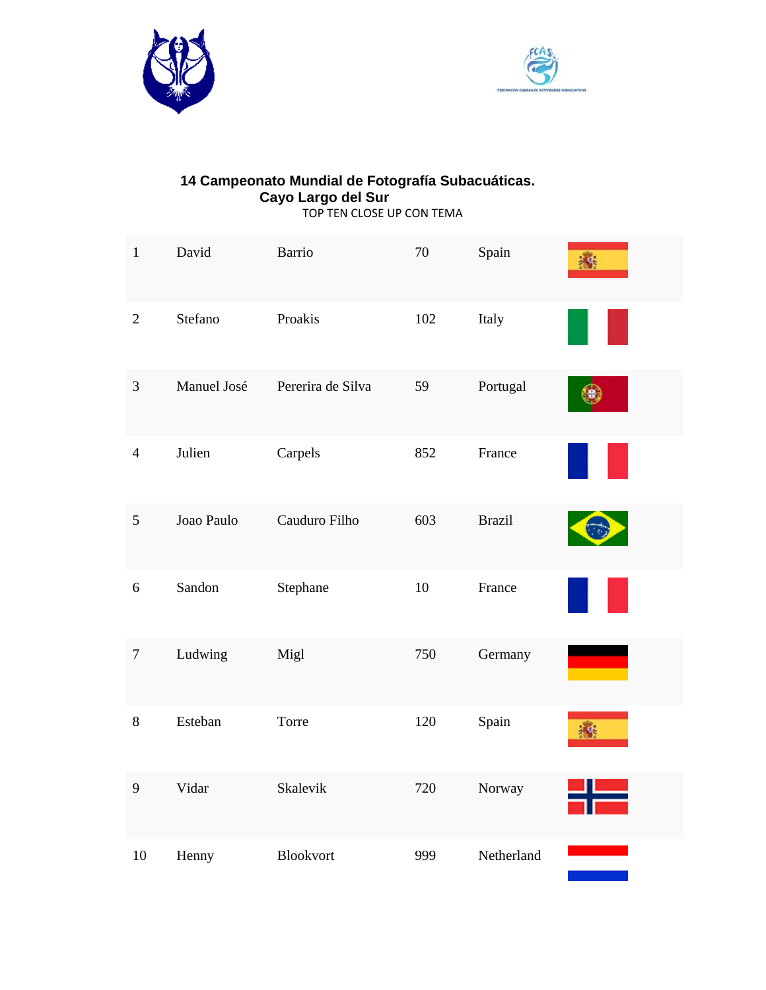



#### **14 Campeonato Mundial de Fotografía Subacuáticas. Cayo Largo del Sur**  TOP TEN CLOSE UP CON TEMA

| $\mathbf 1$      | David       | <b>Barrio</b>     | $70\,$ | Spain         | i vi |
|------------------|-------------|-------------------|--------|---------------|------|
| $\overline{2}$   | Stefano     | Proakis           | 102    | Italy         |      |
| $\mathfrak{Z}$   | Manuel José | Pererira de Silva | 59     | Portugal      |      |
| $\overline{4}$   | Julien      | Carpels           | 852    | France        |      |
| 5                | Joao Paulo  | Cauduro Filho     | 603    | <b>Brazil</b> |      |
| 6                | Sandon      | Stephane          | $10\,$ | France        |      |
| $\boldsymbol{7}$ | Ludwing     | Migl              | 750    | Germany       |      |
| $8\,$            | Esteban     | Torre             | 120    | Spain         | 森    |
| 9                | Vidar       | Skalevik          | 720    | Norway        |      |
| 10               | Henny       | Blookvort         | 999    | Netherland    |      |